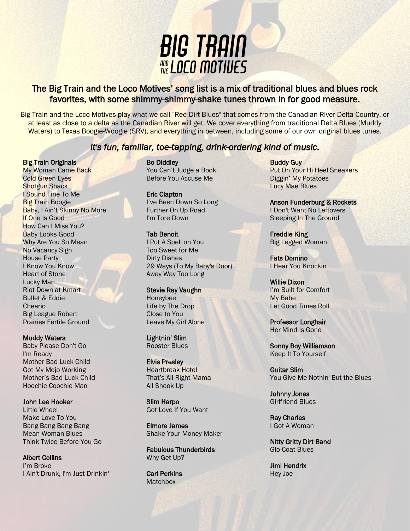

# The Big Train and the Loco Motives' song list is a mix of traditional blues and blues rock favorites, with some shimmy-shimmy-shake tunes thrown in for good measure.

Big Train and the Loco Motives play what we call "Red Dirt Blues" that comes from the Canadian River Delta Country, or at least as close to a delta as the Canadian River will get. We cover everything from traditional Delta Blues (Muddy Waters) to Texas Boogie-Woogie (SRV), and everything in between, including some of our own original blues tunes.

# *It's fun, familiar, toe-tapping, drink-ordering kind of music.*

### **Big Train Originals**

My Woman Came Back Cold Green Eyes **Shotgun Shack** I Sound Fine To Me Big Train Boogie Baby, I Ain't Skinny No More If One Is Good How Can I Miss You? Baby Looks Good Why Are You So Mean No Vacancy Sign House Party I Know You Know Heart of Stone Lucky Man Riot Down at Kmart Bullet & Eddie Cheerio Big League Robert Prairies Fertile Ground

### Muddy Waters

Baby Please Don't Go I'm Ready Mother Bad Luck Child Got My Mojo Working Mother's Bad Luck Child Hoochie Coochie Man

## John Lee Hooker

Little Wheel Make Love To You Bang Bang Bang Bang Mean Woman Blues Think Twice Before You Go

Albert Collins I'm Broke I Ain't Drunk, I'm Just Drinkin' Bo Diddley You Can't Judge a Book Before You Accuse Me

Eric Clapton I've Been Down So Long Further On Up Road I'm Tore Down

### Tab Benoit

I Put A Spell on You Too Sweet for Me Dirty Dishes 29 Ways (To My Baby's Door) Away Way Too Long

## Stevie Ray Vaughn

Honeybee Life by The Drop Close to You Leave My Girl Alone

Lightnin' Slim Rooster Blues

#### Elvis Presley Heartbreak Hotel That's All Right Mama All Shook Up

Slim Harpo Got Love If You Want

Elmore James Shake Your Money Maker

Fabulous Thunderbirds Why Get Up?

Carl Perkins **Matchbox** 

Buddy Guy Put On Your Hi Heel Sneakers Diggin' My Potatoes Lucy Mae Blues

Anson Funderburg & Rockets I Don't Want No Leftovers Sleeping In The Ground

Freddie King Big Legged Woman

Fats Domino I Hear You Knockin

Willie Dixon I'm Built for Comfort My Babe Let Good Times Roll

Professor Longhair Her Mind Is Gone

Sonny Boy Williamson Keep It To Yourself

Guitar Slim You Give Me Nothin' But the Blues

Johnny Jones Girlfriend Blues

Ray Charles I Got A Woman

Nitty Gritty Dirt Band Glo-Coat Blues

Jimi Hendrix Hey Joe